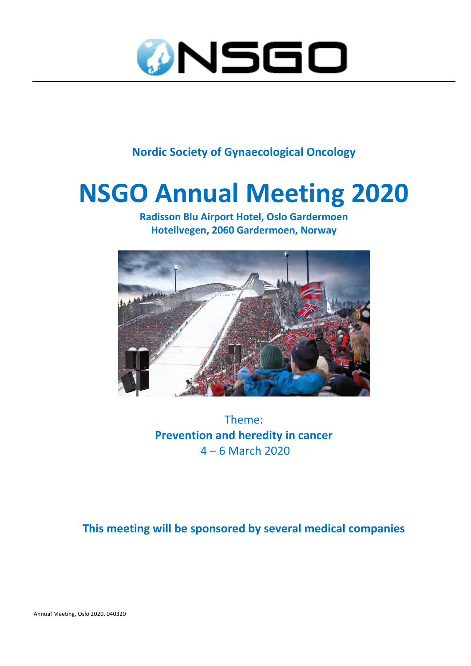

**Nordic Society of Gynaecological Oncology**

## **NSGO Annual Meeting 2020**

**Radisson Blu Airport Hotel, Oslo Gardermoen Hotellvegen, 2060 Gardermoen, Norway**



Theme: **Prevention and heredity in cancer** 4 – 6 March 2020

**This meeting will be sponsored by several medical companies**

Annual Meeting, Oslo 2020, 040320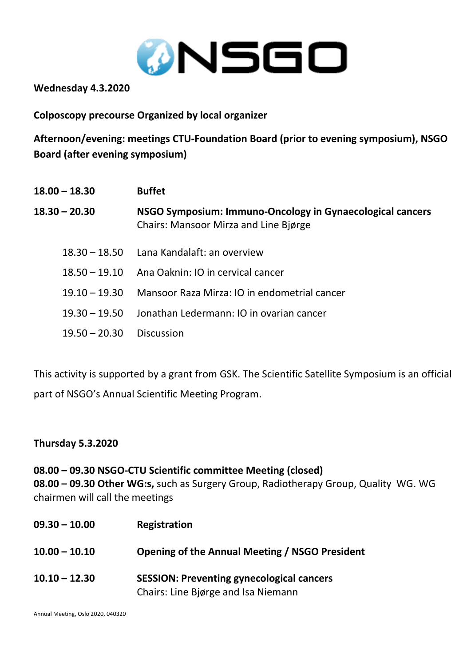

**Wednesday 4.3.2020**

**Colposcopy precourse Organized by local organizer**

**Afternoon/evening: meetings CTU-Foundation Board (prior to evening symposium), NSGO Board (after evening symposium)**

| $18.00 - 18.30$ | <b>Buffet</b>                                                                                      |
|-----------------|----------------------------------------------------------------------------------------------------|
| $18.30 - 20.30$ | NSGO Symposium: Immuno-Oncology in Gynaecological cancers<br>Chairs: Mansoor Mirza and Line Bjørge |
|                 | 18.30 - 18.50 Lana Kandalaft: an overview                                                          |
| $18.50 - 19.10$ | Ana Oaknin: IO in cervical cancer                                                                  |
| $19.10 - 19.30$ | Mansoor Raza Mirza: IO in endometrial cancer                                                       |
| $19.30 - 19.50$ | Jonathan Ledermann: IO in ovarian cancer                                                           |
| $19.50 - 20.30$ | <b>Discussion</b>                                                                                  |

This activity is supported by a grant from GSK. The Scientific Satellite Symposium is an official part of NSGO's Annual Scientific Meeting Program.

## **Thursday 5.3.2020**

**08.00 – 09.30 NSGO-CTU Scientific committee Meeting (closed) 08.00 – 09.30 Other WG:s,** such as Surgery Group, Radiotherapy Group, Quality WG. WG chairmen will call the meetings

| $09.30 - 10.00$ | Registration                                                                            |
|-----------------|-----------------------------------------------------------------------------------------|
| $10.00 - 10.10$ | Opening of the Annual Meeting / NSGO President                                          |
| $10.10 - 12.30$ | <b>SESSION: Preventing gynecological cancers</b><br>Chairs: Line Bjørge and Isa Niemann |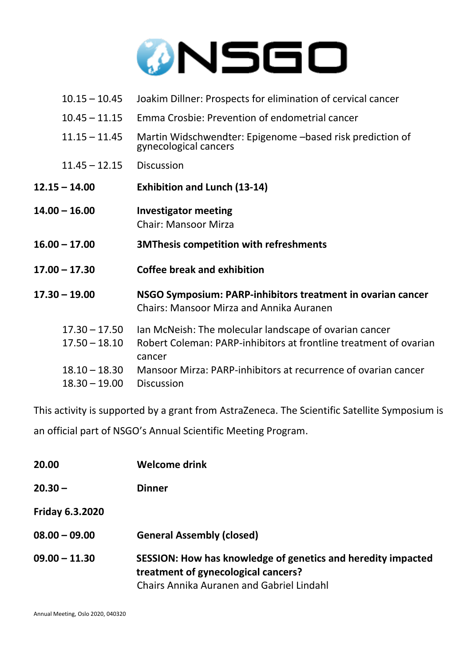

- 10.15 10.45 Joakim Dillner: Prospects for elimination of cervical cancer
- 10.45 11.15 Emma Crosbie: Prevention of endometrial cancer
- 11.15 11.45 Martin Widschwendter: Epigenome –based risk prediction of gynecological cancers
- 11.45 12.15 Discussion
- **12.15 – 14.00 Exhibition and Lunch (13-14)**
- **14.00 – 16.00 Investigator meeting** Chair: Mansoor Mirza
- **16.00 – 17.00 3MThesis competition with refreshments**
- **17.00 – 17.30 Coffee break and exhibition**
- **17.30 – 19.00 NSGO Symposium: PARP-inhibitors treatment in ovarian cancer** Chairs: Mansoor Mirza and Annika Auranen
	- 17.30 17.50 Ian McNeish: The molecular landscape of ovarian cancer
	- 17.50 18.10 Robert Coleman: PARP-inhibitors at frontline treatment of ovarian cancer
	- 18.10 18.30 Mansoor Mirza: PARP-inhibitors at recurrence of ovarian cancer
	- 18.30 19.00 Discussion

This activity is supported by a grant from AstraZeneca. The Scientific Satellite Symposium is an official part of NSGO's Annual Scientific Meeting Program.

| 20.00                  | <b>Welcome drink</b>                                                                                                                                    |
|------------------------|---------------------------------------------------------------------------------------------------------------------------------------------------------|
| $20.30 -$              | <b>Dinner</b>                                                                                                                                           |
| <b>Friday 6.3.2020</b> |                                                                                                                                                         |
| $08.00 - 09.00$        | <b>General Assembly (closed)</b>                                                                                                                        |
| $09.00 - 11.30$        | SESSION: How has knowledge of genetics and heredity impacted<br>treatment of gynecological cancers?<br><b>Chairs Annika Auranen and Gabriel Lindahl</b> |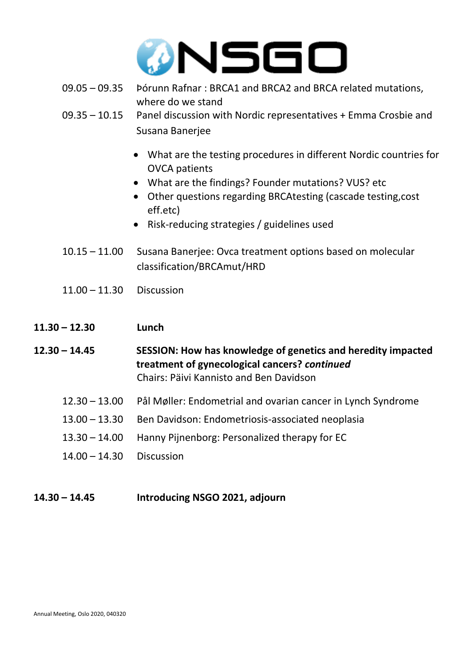

- 09.05 09.35 Þórunn Rafnar : BRCA1 and BRCA2 and BRCA related mutations, where do we stand
- 09.35 10.15 Panel discussion with Nordic representatives + Emma Crosbie and Susana Banerjee
	- What are the testing procedures in different Nordic countries for OVCA patients
	- What are the findings? Founder mutations? VUS? etc
	- Other questions regarding BRCAtesting (cascade testing,cost eff.etc)
	- Risk-reducing strategies / guidelines used
- 10.15 11.00 Susana Banerjee: Ovca treatment options based on molecular classification/BRCAmut/HRD
- 11.00 11.30 Discussion
- **11.30 – 12.30 Lunch**

**12.30 – 14.45 SESSION: How has knowledge of genetics and heredity impacted treatment of gynecological cancers?** *continued* Chairs: Päivi Kannisto and Ben Davidson

- 12.30 13.00 Pål Møller: Endometrial and ovarian cancer in Lynch Syndrome
- 13.00 13.30 Ben Davidson: Endometriosis-associated neoplasia
- 13.30 14.00 Hanny Pijnenborg: Personalized therapy for EC
- 14.00 14.30 Discussion
- **14.30 – 14.45 Introducing NSGO 2021, adjourn**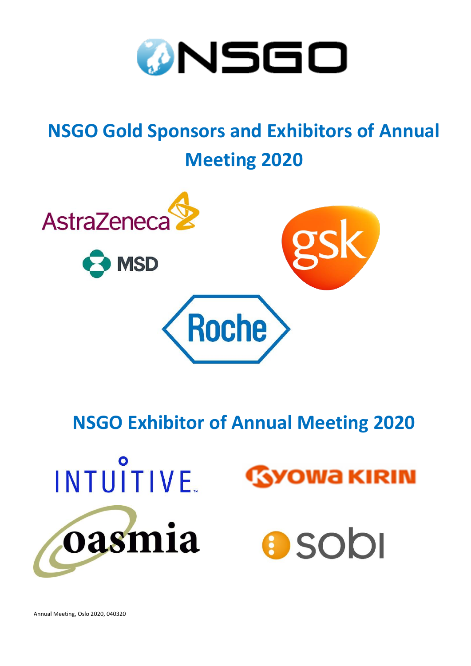

## **NSGO Gold Sponsors and Exhibitors of Annual Meeting 2020**



**NSGO Exhibitor of Annual Meeting 2020**